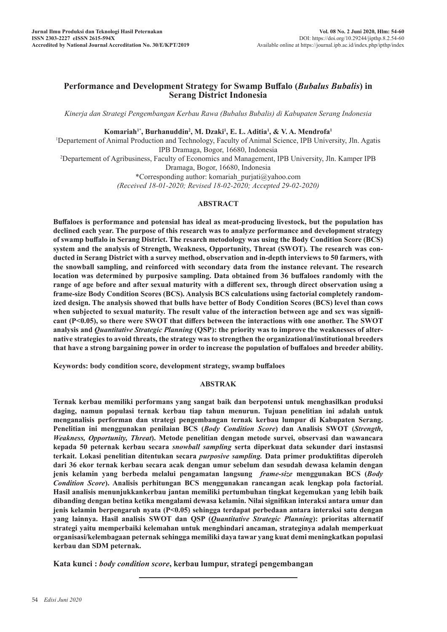# **Performance and Development Strategy for Swamp Buffalo (***Bubalus Bubalis***) in Serang District Indonesia**

*Kinerja dan Strategi Pengembangan Kerbau Rawa (Bubalus Bubalis) di Kabupaten Serang Indonesia*

# **Komariah1\*, Burhanuddin2 , M. Dzaki1 , E. L. Aditia1 , & V. A. Mendrofa1**

1 Departement of Animal Production and Technology, Faculty of Animal Science, IPB University, Jln. Agatis IPB Dramaga, Bogor, 16680, Indonesia 2 Departement of Agribusiness, Faculty of Economics and Management, IPB University, Jln. Kamper IPB Dramaga, Bogor, 16680, Indonesia \*Corresponding author: komariah\_purjati@yahoo.com

*(Received 18-01-2020; Revised 18-02-2020; Accepted 29-02-2020)*

# **ABSTRACT**

**Buffaloes is performance and potensial has ideal as meat-producing livestock, but the population has declined each year. The purpose of this research was to analyze performance and development strategy of swamp buffalo in Serang District. The resarch metodology was using the Body Condition Score (BCS) system and the analysis of Strength, Weakness, Opportunity, Threat (SWOT). The research was conducted in Serang District with a survey method, observation and in-depth interviews to 50 farmers, with the snowball sampling, and reinforced with secondary data from the instance relevant. The research location was determined by purposive sampling. Data obtained from 36 buffaloes randomly with the range of age before and after sexual maturity with a different sex, through direct observation using a frame-size Body Condition Scores (BCS). Analysis BCS calculations using factorial completely randomized design. The analysis showed that bulls have better of Body Condition Scores (BCS) level than cows when subjected to sexual maturity. The result value of the interaction between age and sex was significant (P<0.05), so there were SWOT that differs between the interactions with one another. The SWOT analysis and** *Quantitative Strategic Planning* **(QSP): the priority was to improve the weaknesses of alternative strategies to avoid threats, the strategy was to strengthen the organizational/institutional breeders that have a strong bargaining power in order to increase the population of buffaloes and breeder ability.**

**Keywords: body condition score, development strategy, swamp buffaloes**

### **ABSTRAK**

**Ternak kerbau memiliki performans yang sangat baik dan berpotensi untuk menghasilkan produksi daging, namun populasi ternak kerbau tiap tahun menurun. Tujuan penelitian ini adalah untuk menganalisis performan dan strategi pengembangan ternak kerbau lumpur di Kabupaten Serang. Penelitian ini menggunakan penilaian BCS (***Body Condition Score***) dan Analisis SWOT (***Strength, Weakness, Opportunity, Threat***). Metode penelitian dengan metode survei, observasi dan wawancara kepada 50 peternak kerbau secara** *snowball sampling* **serta diperkuat data sekunder dari instasnsi terkait. Lokasi penelitian ditentukan secara** *purposive sampling.* **Data primer produktifitas diperoleh dari 36 ekor ternak kerbau secara acak dengan umur sebelum dan sesudah dewasa kelamin dengan jenis kelamin yang berbeda melalui pengamatan langsung** *frame-size* **menggunakan BCS (***Body Condition Score***). Analisis perhitungan BCS menggunakan rancangan acak lengkap pola factorial. Hasil analisis menunjukkankerbau jantan memiliki pertumbuhan tingkat kegemukan yang lebih baik dibanding dengan betina ketika mengalami dewasa kelamin. Nilai signifikan interaksi antara umur dan jenis kelamin berpengaruh nyata (P<0.05) sehingga terdapat perbedaan antara interaksi satu dengan yang lainnya. Hasil analisis SWOT dan QSP (***Quantitative Strategic Planning***): prioritas alternatif strategi yaitu memperbaiki kelemahan untuk menghindari ancaman, strateginya adalah memperkuat organisasi/kelembagaan peternak sehingga memiliki daya tawar yang kuat demi meningkatkan populasi kerbau dan SDM peternak.**

**Kata kunci :** *body condition score***, kerbau lumpur, strategi pengembangan**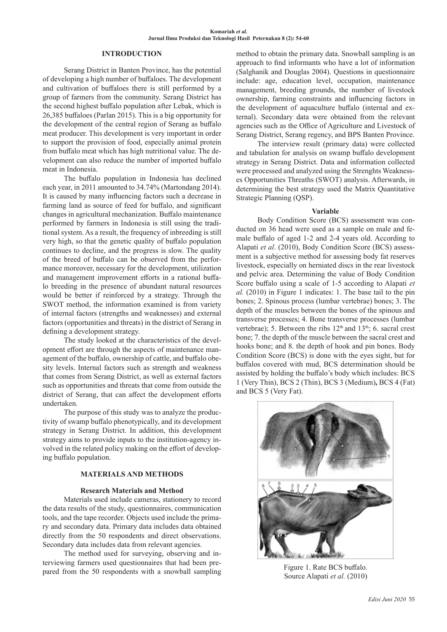### **INTRODUCTION**

Serang District in Banten Province, has the potential of developing a high number of buffaloes. The development and cultivation of buffaloes there is still performed by a group of farmers from the community. Serang District has the second highest buffalo population after Lebak, which is 26,385 buffaloes (Parlan 2015). This is a big opportunity for the development of the central region of Serang as buffalo meat producer. This development is very important in order to support the provision of food, especially animal protein from buffalo meat which has high nutritional value. The development can also reduce the number of imported buffalo meat in Indonesia.

The buffalo population in Indonesia has declined each year, in 2011 amounted to 34.74% (Martondang 2014). It is caused by many influencing factors such a decrease in farming land as source of feed for buffalo, and significant changes in agricultural mechanization. Buffalo maintenance performed by farmers in Indonesia is still using the traditional system. As a result, the frequency of inbreeding is still very high, so that the genetic quality of buffalo population continues to decline, and the progress is slow. The quality of the breed of buffalo can be observed from the performance moreover, necessary for the development, utilization and management improvement efforts in a rational buffalo breeding in the presence of abundant natural resources would be better if reinforced by a strategy. Through the SWOT method, the information examined is from variety of internal factors (strengths and weaknesses) and external factors (opportunities and threats) in the district of Serang in defining a development strategy.

The study looked at the characteristics of the development effort are through the aspects of maintenance management of the buffalo, ownership of cattle, and buffalo obesity levels. Internal factors such as strength and weakness that comes from Serang District, as well as external factors such as opportunities and threats that come from outside the district of Serang, that can affect the development efforts undertaken.

The purpose of this study was to analyze the productivity of swamp buffalo phenotypically, and its development strategy in Serang District. In addition, this development strategy aims to provide inputs to the institution-agency involved in the related policy making on the effort of developing buffalo population.

# **MATERIALS AND METHODS**

#### **Research Materials and Method**

Materials used include cameras, stationery to record the data results of the study, questionnaires, communication tools, and the tape recorder. Objects used include the primary and secondary data. Primary data includes data obtained directly from the 50 respondents and direct observations. Secondary data includes data from relevant agencies.

The method used for surveying, observing and interviewing farmers used questionnaires that had been prepared from the 50 respondents with a snowball sampling method to obtain the primary data. Snowball sampling is an approach to find informants who have a lot of information (Salghanik and Douglas 2004). Questions in questionnaire include: age, education level, occupation, maintenance management, breeding grounds, the number of livestock ownership, farming constraints and influencing factors in the development of aquaculture buffalo (internal and external). Secondary data were obtained from the relevant agencies such as the Office of Agriculture and Livestock of Serang District, Serang regency, and BPS Banten Province.

The interview result (primary data) were collected and tabulation for analysis on swamp buffalo development strategy in Serang District. Data and information collected were processed and analyzed using the Strenghts Weaknesses Opportunities Threaths (SWOT) analysis. Afterwards, in determining the best strategy used the Matrix Quantitative Strategic Planning (QSP).

### **Variable**

Body Condition Score (BCS) assessment was conducted on 36 head were used as a sample on male and female buffalo of aged 1-2 and 2-4 years old. According to Alapati *et al*. (2010), Body Condition Score (BCS) assessment is a subjective method for assessing body fat reserves livestock, especially on herniated discs in the rear livestock and pelvic area. Determining the value of Body Condition Score buffalo using a scale of 1-5 according to Alapati *et al.* (2010) in Figure 1 indicates: 1. The base tail to the pin bones; 2. Spinous process (lumbar vertebrae) bones; 3. The depth of the muscles between the bones of the spinous and transverse processes; 4. Bone transverse processes (lumbar vertebrae); 5. Between the ribs  $12<sup>th</sup>$  and  $13<sup>th</sup>$ ; 6. sacral crest bone; 7. the depth of the muscle between the sacral crest and hooks bone; and 8. the depth of hook and pin bones. Body Condition Score (BCS) is done with the eyes sight, but for buffalos covered with mud, BCS determination should be assisted by holding the buffalo's body which includes: BCS 1 (Very Thin), BCS 2 (Thin), BCS 3 (Medium)**,** BCS 4 (Fat) and BCS 5 (Very Fat).



Figure 1. Rate BCS buffalo. Source Alapati *et al.* (2010)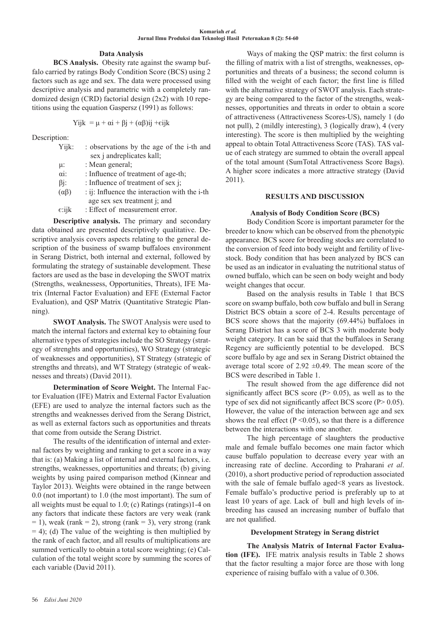# **Data Analysis**

**BCS Analysis.** Obesity rate against the swamp buffalo carried by ratings Body Condition Score (BCS) using 2 factors such as age and sex. The data were processed using descriptive analysis and parametric with a completely randomized design (CRD) factorial design (2x2) with 10 repetitions using the equation Gaspersz (1991) as follows:

$$
Yijk = \mu + \alpha i + \beta j + (\alpha \beta)ij + \varepsilon ijk
$$

Description:

| Yijk:           | : observations by the age of the i-th and              |
|-----------------|--------------------------------------------------------|
|                 | sex j andreplicates kall;                              |
| μ:              | : Mean general;                                        |
| $\alpha i$ :    | : Influence of treatment of age-th;                    |
| $\beta$ j:      | : Influence of treatment of sex j;                     |
| $(\alpha\beta)$ | : ij: Influence the interaction with the i-th          |
|                 | age sex sex treatment j; and                           |
| $\epsilon$ :ijk | : Effect of measurement error.                         |
|                 | <b>Descriptive analysis.</b> The primary and secondary |
|                 | btained are presented descriptively qualitative. De-   |
|                 | re analysis covers aspects relating to the general de- |

data obtained are presented descriptively qualitative. Descriptive analysis covers aspects relating to the general description of the business of swamp buffaloes environment in Serang District, both internal and external, followed by formulating the strategy of sustainable development. These factors are used as the base in developing the SWOT matrix (Strengths, weaknessess, Opportunities, Threats), IFE Matrix (Internal Factor Evaluation) and EFE (External Factor Evaluation), and QSP Matrix (Quantitative Strategic Planning).

**SWOT Analysis.** The SWOT Analysis were used to match the internal factors and external key to obtaining four alternative types of strategies include the SO Strategy (strategy of strenghts and opportunities), WO Strategy (strategic of weaknesses and opportunities), ST Strategy (strategic of strengths and threats), and WT Strategy (strategic of weaknesses and threats) (David 2011).

**Determination of Score Weight.** The Internal Factor Evaluation (IFE) Matrix and External Factor Evaluation (EFE) are used to analyze the internal factors such as the strengths and weaknesses derived from the Serang District, as well as external factors such as opportunities and threats that come from outside the Serang District.

The results of the identification of internal and external factors by weighting and ranking to get a score in a way that is: (a) Making a list of internal and external factors, i.e. strengths, weaknesses, opportunities and threats; (b) giving weights by using paired comparison method (Kinnear and Taylor 2013). Weights were obtained in the range between 0.0 (not important) to 1.0 (the most important). The sum of all weights must be equal to 1.0; (c) Ratings (ratings)1-4 on any factors that indicate these factors are very weak (rank  $= 1$ ), weak (rank  $= 2$ ), strong (rank  $= 3$ ), very strong (rank  $= 4$ ); (d) The value of the weighting is then multiplied by the rank of each factor, and all results of multiplications are summed vertically to obtain a total score weighting; (e) Calculation of the total weight score by summing the scores of each variable (David 2011).

Ways of making the QSP matrix: the first column is the filling of matrix with a list of strengths, weaknesses, opportunities and threats of a business; the second column is filled with the weight of each factor; the first line is filled with the alternative strategy of SWOT analysis. Each strategy are being compared to the factor of the strengths, weaknesses, opportunities and threats in order to obtain a score of attractiveness (Attractiveness Scores-US), namely 1 (do not pull), 2 (mildly interesting), 3 (logically draw), 4 (very interesting). The score is then multiplied by the weighting appeal to obtain Total Attractiveness Score (TAS). TAS value of each strategy are summed to obtain the overall appeal of the total amount (SumTotal Attractiveness Score Bags). A higher score indicates a more attractive strategy (David 2011).

### **RESULTS AND DISCUSSION**

# **Analysis of Body Condition Score (BCS)**

Body Condition Score is important parameter for the breeder to know which can be observed from the phenotypic appearance. BCS score for breeding stocks are correlated to the conversion of feed into body weight and fertility of livestock. Body condition that has been analyzed by BCS can be used as an indicator in evaluating the nutritional status of owned buffalo, which can be seen on body weight and body weight changes that occur.

Based on the analysis results in Table 1 that BCS score on swamp buffalo, both cow buffalo and bull in Serang District BCS obtain a score of 2-4. Results percentage of BCS score shows that the majority (69.44%) buffaloes in Serang District has a score of BCS 3 with moderate body weight category. It can be said that the buffaloes in Serang Regency are sufficiently potential to be developed. BCS score buffalo by age and sex in Serang District obtained the average total score of 2.92  $\pm$ 0.49. The mean score of the BCS were described in Table 1.

The result showed from the age difference did not significantly affect BCS score  $(P> 0.05)$ , as well as to the type of sex did not significantly affect BCS score  $(P> 0.05)$ . However, the value of the interaction between age and sex shows the real effect ( $P \le 0.05$ ), so that there is a difference between the interactions with one another.

The high percentage of slaughters the productive male and female buffalo becomes one main factor which cause buffalo population to decrease every year with an increasing rate of decline. According to Praharani *et al*. (2010), a short productive period of reproduction associated with the sale of female buffalo aged <8 years as livestock. Female buffalo's productive period is preferably up to at least 10 years of age. Lack of bull and high levels of inbreeding has caused an increasing number of buffalo that are not qualified.

# **Development Strategy in Serang district**

**The Analysis Matrix of Internal Factor Evaluation (IFE).** IFE matrix analysis results in Table 2 shows that the factor resulting a major force are those with long experience of raising buffalo with a value of 0.306.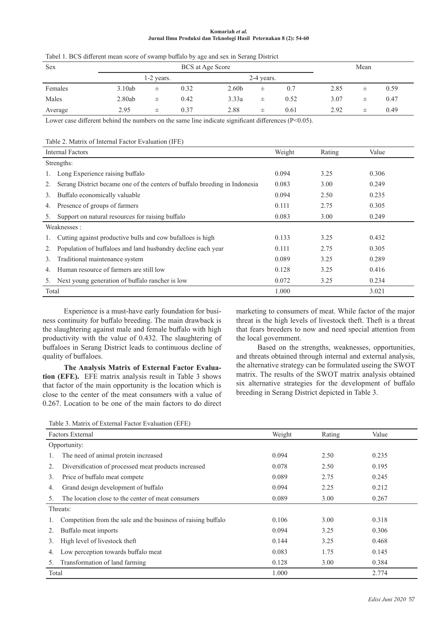#### **Komariah** *et al.*  **Jurnal Ilmu Produksi dan Teknologi Hasil Peternakan 8 (2): 54-60**

| would be written mont books of business of why will be in Berning Browley. |                  |            |      |                   |            |      |      |   |      |
|----------------------------------------------------------------------------|------------------|------------|------|-------------------|------------|------|------|---|------|
| Sex                                                                        | BCS at Age Score |            |      |                   |            |      | Mean |   |      |
|                                                                            |                  | 1-2 years. |      |                   | 2-4 years. |      |      |   |      |
| Females                                                                    | 3.10ab           | 士          | 0.32 | 2.60 <sub>b</sub> | 士          | 0.7  | 2.85 | 士 | 0.59 |
| Males                                                                      | 2.80ab           | 士          | 0.42 | 3.33a             | 士          | 0.52 | 3.07 | 士 | 0.47 |
| Average                                                                    | 2.95             | 士          | 0.37 | 2.88              | 士          | 0.61 | 2.92 | 士 | 0.49 |

Tabel 1. BCS different mean score of swamp buffalo by age and sex in Serang District

Lower case different behind the numbers on the same line indicate significant differences (P<0.05).

Table 2. Matrix of Internal Factor Evaluation (IFE)

| <b>Internal Factors</b> |                                                                            | Weight | Rating | Value |  |  |
|-------------------------|----------------------------------------------------------------------------|--------|--------|-------|--|--|
|                         | Strengths:                                                                 |        |        |       |  |  |
|                         | Long Experience raising buffalo                                            | 0.094  | 3.25   | 0.306 |  |  |
|                         | Serang District became one of the centers of buffalo breeding in Indonesia | 0.083  | 3.00   | 0.249 |  |  |
| 3.                      | Buffalo economically valuable                                              | 0.094  | 2.50   | 0.235 |  |  |
| 4.                      | Presence of groups of farmers                                              | 0.111  | 2.75   | 0.305 |  |  |
| 5.                      | Support on natural resources for raising buffalo                           | 0.083  | 3.00   | 0.249 |  |  |
| Weaknesses:             |                                                                            |        |        |       |  |  |
| Ι.                      | Cutting against productive bulls and cow bufalloes is high                 | 0.133  | 3.25   | 0.432 |  |  |
|                         | Population of buffaloes and land husbandry decline each year               | 0.111  | 2.75   | 0.305 |  |  |
| 3.                      | Traditional maintenance system                                             | 0.089  | 3.25   | 0.289 |  |  |
| 4.                      | Human resource of farmers are still low                                    | 0.128  | 3.25   | 0.416 |  |  |
| 5.                      | Next young generation of buffalo rancher is low                            | 0.072  | 3.25   | 0.234 |  |  |
| Total                   |                                                                            | 1.000  |        | 3.021 |  |  |

Experience is a must-have early foundation for business continuity for buffalo breeding. The main drawback is the slaughtering against male and female buffalo with high productivity with the value of 0.432. The slaughtering of buffaloes in Serang District leads to continuous decline of quality of buffaloes.

**The Analysis Matrix of External Factor Evaluation (EFE).** EFE matrix analysis result in Table 3 shows that factor of the main opportunity is the location which is close to the center of the meat consumers with a value of 0.267. Location to be one of the main factors to do direct

marketing to consumers of meat. While factor of the major threat is the high levels of livestock theft. Theft is a threat that fears breeders to now and need special attention from the local government.

Based on the strengths, weaknesses, opportunities, and threats obtained through internal and external analysis, the alternative strategy can be formulated useing the SWOT matrix. The results of the SWOT matrix analysis obtained six alternative strategies for the development of buffalo breeding in Serang District depicted in Table 3.

| Table 3. Matrix of External Factor Evaluation (EFE) |  |
|-----------------------------------------------------|--|
|-----------------------------------------------------|--|

| <b>Factors External</b>                                       | Weight | Rating | Value |  |
|---------------------------------------------------------------|--------|--------|-------|--|
| Opportunity:                                                  |        |        |       |  |
| The need of animal protein increased                          | 0.094  | 2.50   | 0.235 |  |
| Diversification of processed meat products increased<br>2.    | 0.078  | 2.50   | 0.195 |  |
| Price of buffalo meat compete<br>3.                           | 0.089  | 2.75   | 0.245 |  |
| Grand design development of buffalo<br>4.                     | 0.094  | 2.25   | 0.212 |  |
| The location close to the center of meat consumers<br>5.      | 0.089  | 3.00   | 0.267 |  |
| Threats:                                                      |        |        |       |  |
| Competition from the sale and the business of raising buffalo | 0.106  | 3.00   | 0.318 |  |
| Buffalo meat imports                                          | 0.094  | 3.25   | 0.306 |  |
| High level of livestock theft<br>3.                           | 0.144  | 3.25   | 0.468 |  |
| Low perception towards buffalo meat<br>4.                     | 0.083  | 1.75   | 0.145 |  |
| Transformation of land farming<br>$\mathcal{L}$               | 0.128  | 3.00   | 0.384 |  |
| Total                                                         | 1.000  |        | 2.774 |  |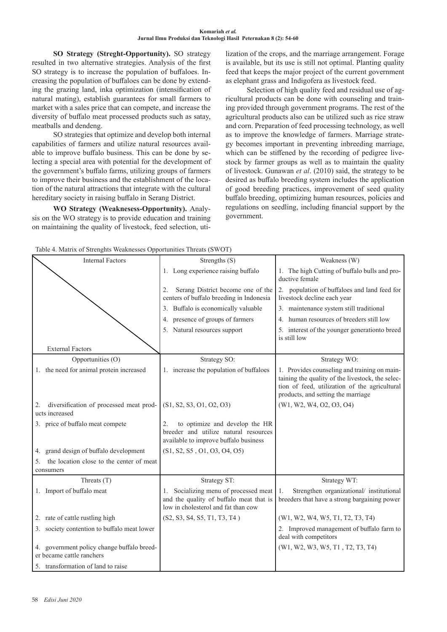**SO Strategy (Streght-Opportunity).** SO strategy resulted in two alternative strategies. Analysis of the first SO strategy is to increase the population of buffaloes. Increasing the population of buffaloes can be done by extending the grazing land, inka optimization (intensification of natural mating), establish guarantees for small farmers to market with a sales price that can compete, and increase the diversity of buffalo meat processed products such as satay, meatballs and dendeng.

SO strategies that optimize and develop both internal capabilities of farmers and utilize natural resources available to improve buffalo business. This can be done by selecting a special area with potential for the development of the government's buffalo farms, utilizing groups of farmers to improve their business and the establishment of the location of the natural attractions that integrate with the cultural hereditary society in raising buffalo in Serang District.

**WO Strategy (Weaknesess-Opportunity).** Analysis on the WO strategy is to provide education and training on maintaining the quality of livestock, feed selection, utilization of the crops, and the marriage arrangement. Forage is available, but its use is still not optimal. Planting quality feed that keeps the major project of the current government as elephant grass and Indigofera as livestock feed.

Selection of high quality feed and residual use of agricultural products can be done with counseling and training provided through government programs. The rest of the agricultural products also can be utilized such as rice straw and corn. Preparation of feed processing technology, as well as to improve the knowledge of farmers. Marriage strategy becomes important in preventing inbreeding marriage, which can be stiffened by the recording of pedigree livestock by farmer groups as well as to maintain the quality of livestock. Gunawan *et al*. (2010) said, the strategy to be desired as buffalo breeding system includes the application of good breeding practices, improvement of seed quality buffalo breeding, optimizing human resources, policies and regulations on seedling, including financial support by the government.

| . .                                                                     |                                                                                                                         |                                                                                                                                                                                         |
|-------------------------------------------------------------------------|-------------------------------------------------------------------------------------------------------------------------|-----------------------------------------------------------------------------------------------------------------------------------------------------------------------------------------|
| <b>Internal Factors</b>                                                 | Strengths (S)                                                                                                           | Weakness (W)                                                                                                                                                                            |
|                                                                         | 1. Long experience raising buffalo                                                                                      | 1. The high Cutting of buffalo bulls and pro-<br>ductive female                                                                                                                         |
|                                                                         | Serang District become one of the<br>2.<br>centers of buffalo breeding in Indonesia                                     | 2. population of buffaloes and land feed for<br>livestock decline each year                                                                                                             |
|                                                                         | 3. Buffalo is economically valuable                                                                                     | 3. maintenance system still traditional                                                                                                                                                 |
|                                                                         | 4. presence of groups of farmers                                                                                        | 4. human resources of breeders still low                                                                                                                                                |
|                                                                         | 5. Natural resources support                                                                                            | 5. interest of the younger generation to breed<br>is still low                                                                                                                          |
| <b>External Factors</b>                                                 |                                                                                                                         |                                                                                                                                                                                         |
| Opportunities (O)                                                       | Strategy SO:                                                                                                            | Strategy WO:                                                                                                                                                                            |
| 1. the need for animal protein increased                                | 1. increase the population of buffaloes                                                                                 | 1. Provides counseling and training on main-<br>taining the quality of the livestock, the selec-<br>tion of feed, utilization of the agricultural<br>products, and setting the marriage |
| diversification of processed meat prod-<br>2.<br>ucts increased         | (S1, S2, S3, O1, O2, O3)                                                                                                | (W1, W2, W4, O2, O3, O4)                                                                                                                                                                |
| 3. price of buffalo meat compete                                        | to optimize and develop the HR<br>2.<br>breeder and utilize natural resources<br>available to improve buffalo business  |                                                                                                                                                                                         |
| 4. grand design of buffalo development                                  | (S1, S2, S5, O1, O3, O4, O5)                                                                                            |                                                                                                                                                                                         |
| the location close to the center of meat<br>5.<br>consumers             |                                                                                                                         |                                                                                                                                                                                         |
| Threats $(T)$                                                           | Strategy ST:                                                                                                            | Strategy WT:                                                                                                                                                                            |
| 1. Import of buffalo meat                                               | 1. Socializing menu of processed meat<br>and the quality of buffalo meat that is<br>low in cholesterol and fat than cow | Strengthen organizational/ institutional<br>1.<br>breeders that have a strong bargaining power                                                                                          |
| 2. rate of cattle rustling high                                         | (S2, S3, S4, S5, T1, T3, T4)                                                                                            | (W1, W2, W4, W5, T1, T2, T3, T4)                                                                                                                                                        |
| 3. society contention to buffalo meat lower                             |                                                                                                                         | 2. Improved management of buffalo farm to<br>deal with competitors                                                                                                                      |
| 4. government policy change buffalo breed-<br>er became cattle ranchers |                                                                                                                         | (W1, W2, W3, W5, T1, T2, T3, T4)                                                                                                                                                        |
| 5. transformation of land to raise                                      |                                                                                                                         |                                                                                                                                                                                         |

Table 4. Matrix of Strenghts Weaknesses Opportunities Threats (SWOT)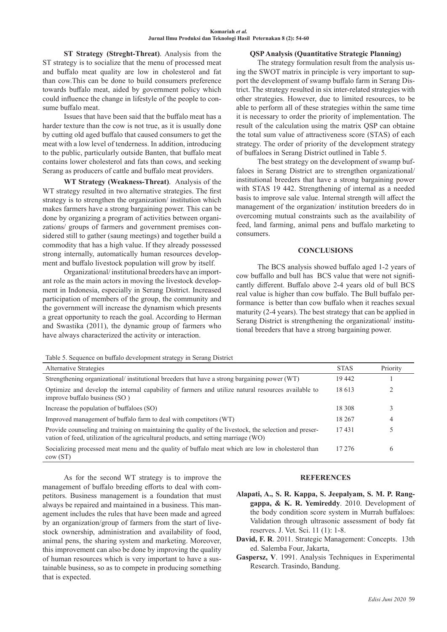**ST Strategy (Streght-Threat)**. Analysis from the ST strategy is to socialize that the menu of processed meat and buffalo meat quality are low in cholesterol and fat than cow.This can be done to build consumers preference towards buffalo meat, aided by government policy which could influence the change in lifestyle of the people to consume buffalo meat.

Issues that have been said that the buffalo meat has a harder texture than the cow is not true, as it is usually done by cutting old aged buffalo that caused consumers to get the meat with a low level of tenderness. In addition, introducing to the public, particularly outside Banten, that buffalo meat contains lower cholesterol and fats than cows, and seeking Serang as producers of cattle and buffalo meat providers.

**WT Strategy (Weakness-Threat)**. Analysis of the WT strategy resulted in two alternative strategies. The first strategy is to strengthen the organization/ institution which makes farmers have a strong bargaining power. This can be done by organizing a program of activities between organizations/ groups of farmers and government premises considered still to gather (saung meetings) and together build a commodity that has a high value. If they already possessed strong internally, automatically human resources development and buffalo livestock population will grow by itself.

Organizational/ institutional breeders have an important role as the main actors in moving the livestock development in Indonesia, especially in Serang District. Increased participation of members of the group, the community and the government will increase the dynamism which presents a great opportunity to reach the goal. According to Herman and Swastika (2011), the dynamic group of farmers who have always characterized the activity or interaction.

# **QSP Analysis (Quantitative Strategic Planning)**

The strategy formulation result from the analysis using the SWOT matrix in principle is very important to support the development of swamp buffalo farm in Serang District. The strategy resulted in six inter-related strategies with other strategies. However, due to limited resources, to be able to perform all of these strategies within the same time it is necessary to order the priority of implementation. The result of the calculation using the matrix QSP can obtaine the total sum value of attractiveness score (STAS) of each strategy. The order of priority of the development strategy of buffaloes in Serang District outlined in Table 5.

The best strategy on the development of swamp buffaloes in Serang District are to strengthen organizational/ institutional breeders that have a strong bargaining power with STAS 19 442. Strengthening of internal as a needed basis to improve sale value. Internal strength will affect the management of the organization/ institution breeders do in overcoming mutual constraints such as the availability of feed, land farming, animal pens and buffalo marketing to consumers.

### **CONCLUSIONS**

The BCS analysis showed buffalo aged 1-2 years of cow buffallo and bull has BCS value that were not significantly different. Buffalo above 2-4 years old of bull BCS real value is higher than cow buffalo. The Bull buffalo performance is better than cow buffalo when it reaches sexual maturity (2-4 years). The best strategy that can be applied in Serang District is strengthening the organizational/ institutional breeders that have a strong bargaining power.

Table 5. Sequence on buffalo development strategy in Serang District

| Alternative Strategies                                                                                                                                                                        | <b>STAS</b> | Priority |
|-----------------------------------------------------------------------------------------------------------------------------------------------------------------------------------------------|-------------|----------|
| Strengthening organizational/ institutional breeders that have a strong bargaining power (WT)                                                                                                 | 19442       |          |
| Optimize and develop the internal capability of farmers and utilize natural resources available to<br>improve buffalo business (SO)                                                           | 18 613      | ∍        |
| Increase the population of buffaloes (SO)                                                                                                                                                     | 18 308      | 3        |
| Improved management of buffalo farm to deal with competitors (WT)                                                                                                                             | 18 267      | 4        |
| Provide counseling and training on maintaining the quality of the livestock, the selection and preser-<br>vation of feed, utilization of the agricultural products, and setting marriage (WO) | 17431       |          |
| Socializing processed meat menu and the quality of buffalo meat which are low in cholesterol than<br>cov(ST)                                                                                  | 17 276      | 6        |

As for the second WT strategy is to improve the management of buffalo breeding efforts to deal with competitors. Business management is a foundation that must always be repaired and maintained in a business. This management includes the rules that have been made and agreed by an organization/group of farmers from the start of livestock ownership, administration and availability of food, animal pens, the sharing system and marketing. Moreover, this improvement can also be done by improving the quality of human resources which is very important to have a sustainable business, so as to compete in producing something that is expected.

# **REFERENCES**

- **Alapati, A., S. R. Kappa, S. Jeepalyam, S. M. P. Ranggappa, & K. R. Yemireddy**. 2010. Development of the body condition score system in Murrah buffaloes: Validation through ultrasonic assessment of body fat reserves. J. Vet. Sci. 11 (1): 1-8.
- **David, F. R**. 2011. Strategic Management: Concepts. 13th ed. Salemba Four, Jakarta,
- **Gaspersz, V**. 1991. Analysis Techniques in Experimental Research. Trasindo, Bandung.